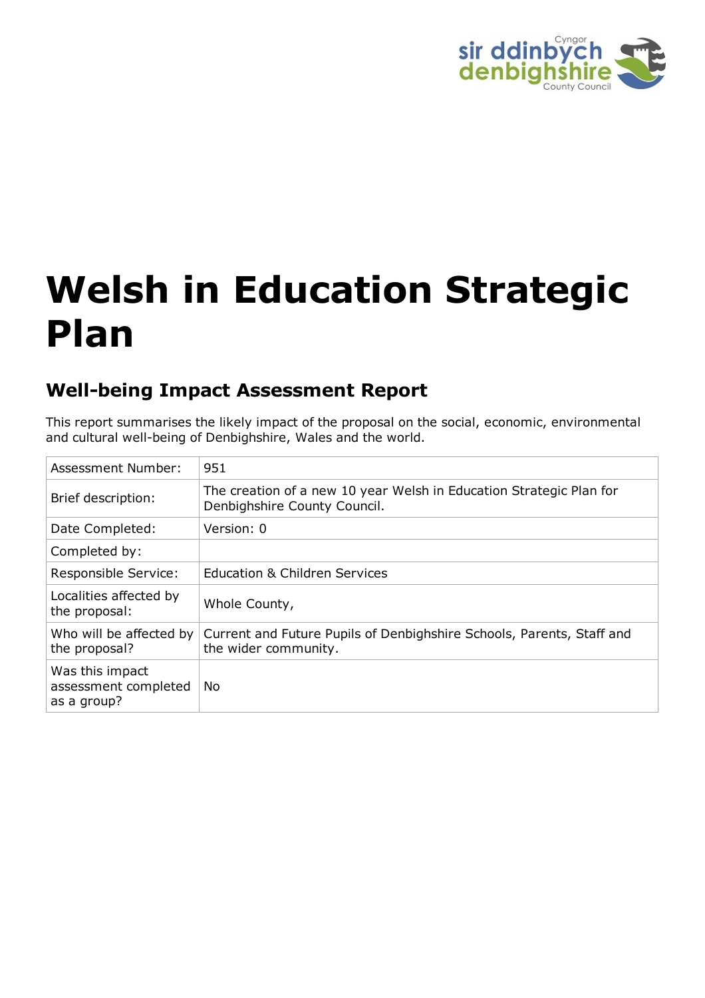

# **Welsh in Education Strategic Plan**

# **Well-being Impact Assessment Report**

This report summarises the likely impact of the proposal on the social, economic, environmental and cultural well-being of Denbighshire, Wales and the world.

| Assessment Number:                                     | 951                                                                                                 |
|--------------------------------------------------------|-----------------------------------------------------------------------------------------------------|
| Brief description:                                     | The creation of a new 10 year Welsh in Education Strategic Plan for<br>Denbighshire County Council. |
| Date Completed:                                        | Version: 0                                                                                          |
| Completed by:                                          |                                                                                                     |
| Responsible Service:                                   | <b>Education &amp; Children Services</b>                                                            |
| Localities affected by<br>the proposal:                | Whole County,                                                                                       |
| Who will be affected by<br>the proposal?               | Current and Future Pupils of Denbighshire Schools, Parents, Staff and<br>the wider community.       |
| Was this impact<br>assessment completed<br>as a group? | No.                                                                                                 |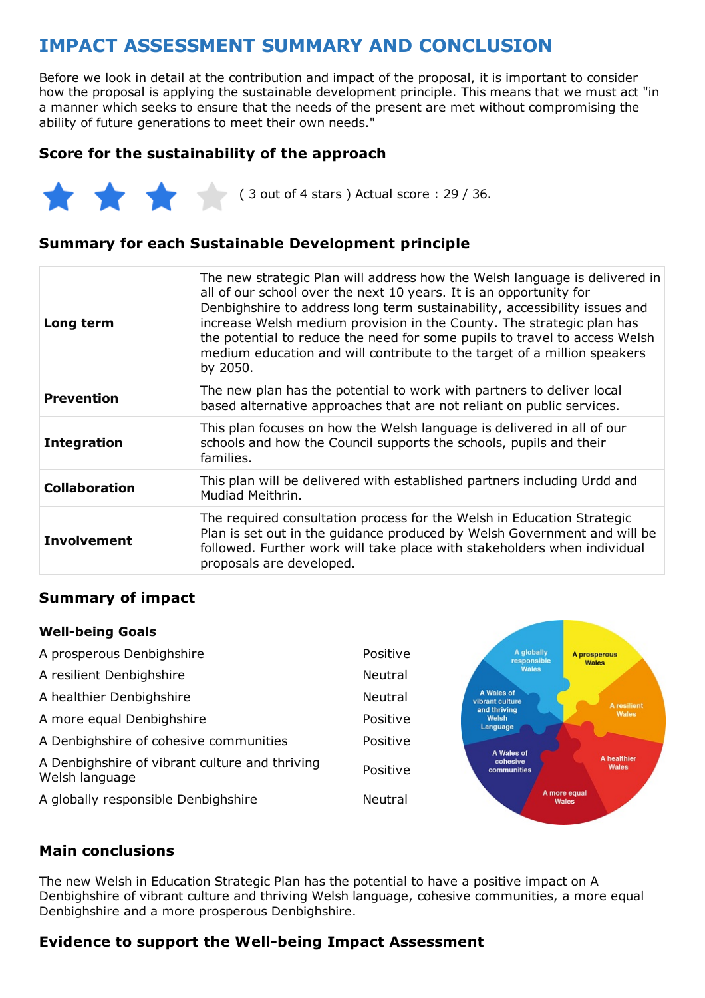# **IMPACT ASSESSMENT SUMMARY AND CONCLUSION**

Before we look in detail at the contribution and impact of the proposal, it is important to consider how the proposal is applying the sustainable development principle. This means that we must act "in a manner which seeks to ensure that the needs of the present are met without compromising the ability of future generations to meet their own needs."

## **Score for the sustainability of the approach**

( 3 out of 4 stars ) Actual score : 29 / 36.

## **Summary for each Sustainable Development principle**

| Long term            | The new strategic Plan will address how the Welsh language is delivered in<br>all of our school over the next 10 years. It is an opportunity for<br>Denbighshire to address long term sustainability, accessibility issues and<br>increase Welsh medium provision in the County. The strategic plan has<br>the potential to reduce the need for some pupils to travel to access Welsh<br>medium education and will contribute to the target of a million speakers<br>by 2050. |
|----------------------|-------------------------------------------------------------------------------------------------------------------------------------------------------------------------------------------------------------------------------------------------------------------------------------------------------------------------------------------------------------------------------------------------------------------------------------------------------------------------------|
| <b>Prevention</b>    | The new plan has the potential to work with partners to deliver local<br>based alternative approaches that are not reliant on public services.                                                                                                                                                                                                                                                                                                                                |
| <b>Integration</b>   | This plan focuses on how the Welsh language is delivered in all of our<br>schools and how the Council supports the schools, pupils and their<br>families.                                                                                                                                                                                                                                                                                                                     |
| <b>Collaboration</b> | This plan will be delivered with established partners including Urdd and<br>Mudiad Meithrin.                                                                                                                                                                                                                                                                                                                                                                                  |
| <b>Involvement</b>   | The required consultation process for the Welsh in Education Strategic<br>Plan is set out in the guidance produced by Welsh Government and will be<br>followed. Further work will take place with stakeholders when individual<br>proposals are developed.                                                                                                                                                                                                                    |

#### **Summary of impact**

#### **Well-being Goals**

| A prosperous Denbighshire                                        | Positive       | A globally<br>responsible             | A prosperous<br><b>Wales</b> |
|------------------------------------------------------------------|----------------|---------------------------------------|------------------------------|
| A resilient Denbighshire                                         | <b>Neutral</b> | <b>Wales</b>                          |                              |
| A healthier Denbighshire                                         | Neutral        | A Wales of<br>vibrant culture         | A resilient                  |
| A more equal Denbighshire                                        | Positive       | and thriving<br>Welsh<br>Language     | Wales                        |
| A Denbighshire of cohesive communities                           | Positive       |                                       |                              |
| A Denbighshire of vibrant culture and thriving<br>Welsh language | Positive       | A Wales of<br>cohesive<br>communities | A healthier<br><b>Wales</b>  |
| A globally responsible Denbighshire                              | Neutral        | A more equal<br><b>Wales</b>          |                              |

**Contract Contract** 

#### **Main conclusions**

The new Welsh in Education Strategic Plan has the potential to have a positive impact on A Denbighshire of vibrant culture and thriving Welsh language, cohesive communities, a more equal Denbighshire and a more prosperous Denbighshire.

#### **Evidence to support the Well-being Impact Assessment**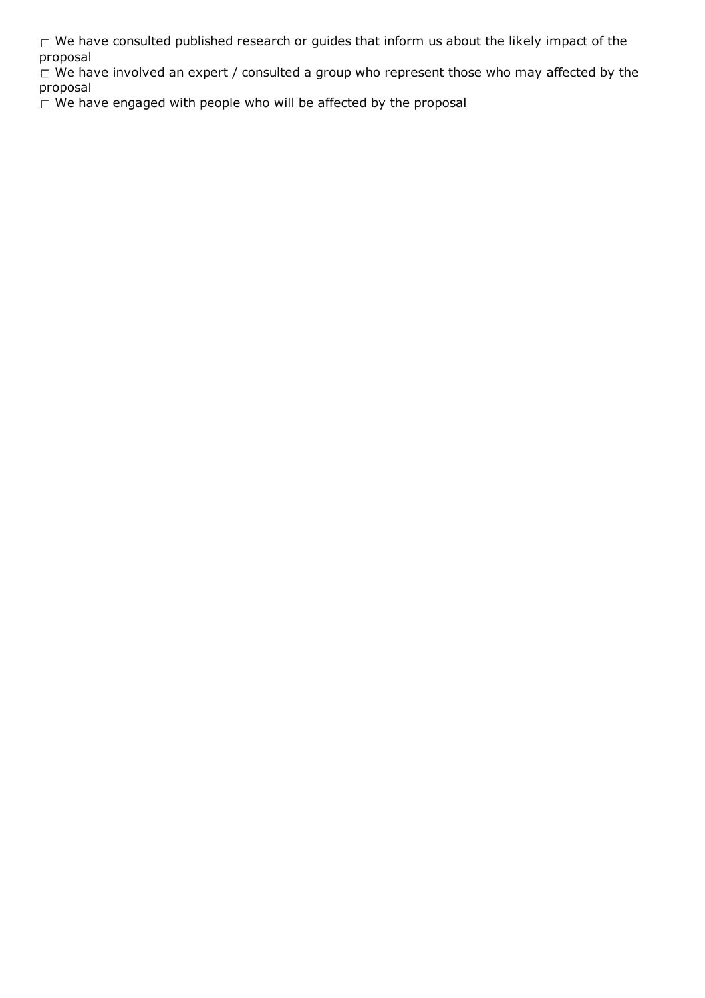$\Box$  We have consulted published research or guides that inform us about the likely impact of the proposal

 $\Box$  We have involved an expert / consulted a group who represent those who may affected by the proposal

 $\Box$  We have engaged with people who will be affected by the proposal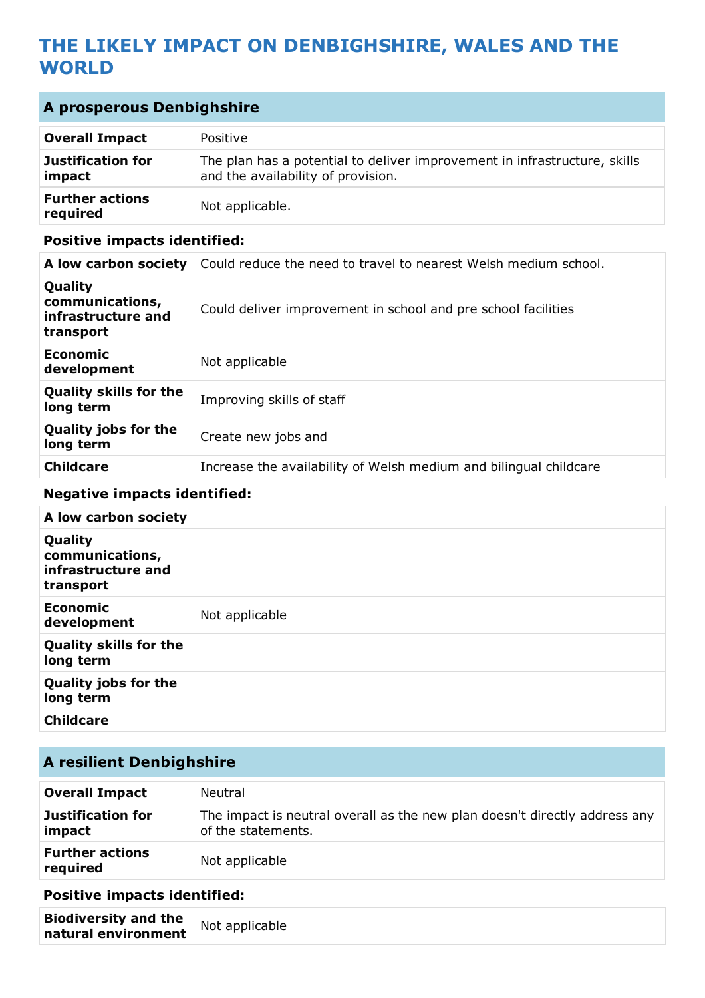# **THE LIKELY IMPACT ON DENBIGHSHIRE, WALES AND THE WORLD**

| A prosperous Denbighshire          |                                                                                                                 |
|------------------------------------|-----------------------------------------------------------------------------------------------------------------|
| <b>Overall Impact</b>              | Positive                                                                                                        |
| Justification for<br>impact        | The plan has a potential to deliver improvement in infrastructure, skills<br>and the availability of provision. |
| <b>Further actions</b><br>required | Not applicable.                                                                                                 |

#### **Positive impacts identified:**

| A low carbon society                                          | Could reduce the need to travel to nearest Welsh medium school.   |
|---------------------------------------------------------------|-------------------------------------------------------------------|
| Quality<br>communications,<br>infrastructure and<br>transport | Could deliver improvement in school and pre school facilities     |
| Economic<br>development                                       | Not applicable                                                    |
| <b>Quality skills for the</b><br>long term                    | Improving skills of staff                                         |
| <b>Quality jobs for the</b><br>long term                      | Create new jobs and                                               |
| <b>Childcare</b>                                              | Increase the availability of Welsh medium and bilingual childcare |

#### **Negative impacts identified:**

| A low carbon society                                          |                |
|---------------------------------------------------------------|----------------|
| Quality<br>communications,<br>infrastructure and<br>transport |                |
| <b>Economic</b><br>development                                | Not applicable |
| <b>Quality skills for the</b><br>long term                    |                |
| <b>Quality jobs for the</b><br>long term                      |                |
| <b>Childcare</b>                                              |                |

## **A resilient Denbighshire**

| <b>Overall Impact</b>              | Neutral                                                                                          |
|------------------------------------|--------------------------------------------------------------------------------------------------|
| Justification for<br>impact        | The impact is neutral overall as the new plan doesn't directly address any<br>of the statements. |
| <b>Further actions</b><br>required | Not applicable                                                                                   |

## **Positive impacts identified:**

| <b>Biodiversity and the</b> | Not applicable |
|-----------------------------|----------------|
| natural environment         |                |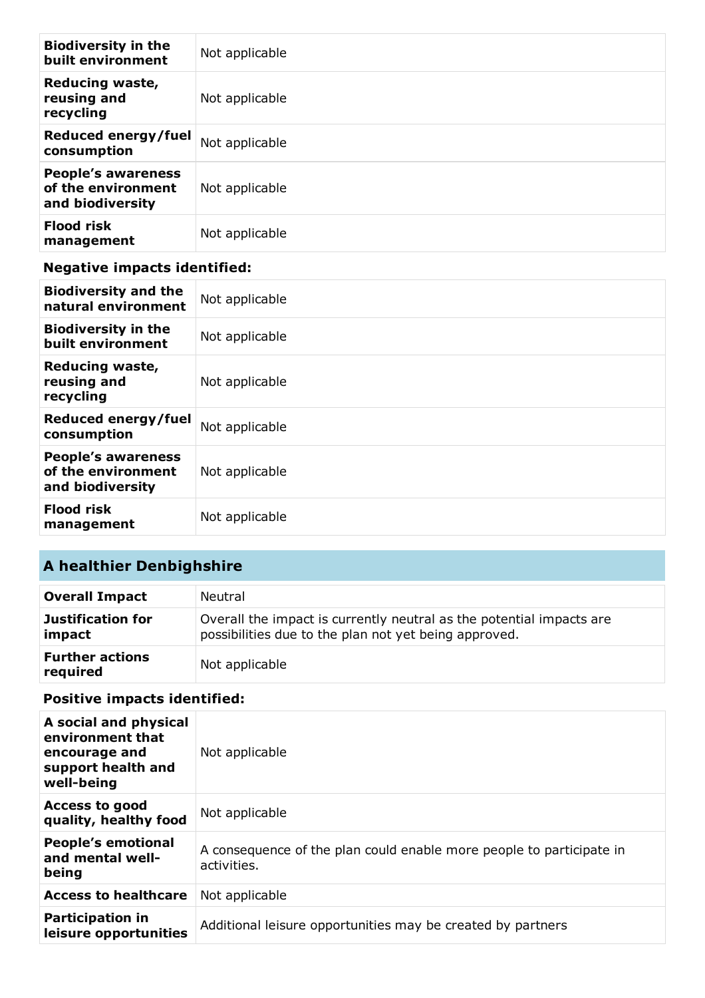| <b>Biodiversity in the</b><br>built environment                     | Not applicable |
|---------------------------------------------------------------------|----------------|
| Reducing waste,<br>reusing and<br>recycling                         | Not applicable |
| Reduced energy/fuel<br>consumption                                  | Not applicable |
| <b>People's awareness</b><br>of the environment<br>and biodiversity | Not applicable |
| <b>Flood risk</b><br>management                                     | Not applicable |

## **Negative impacts identified:**

| <b>Biodiversity and the</b><br>natural environment                  | Not applicable |
|---------------------------------------------------------------------|----------------|
| <b>Biodiversity in the</b><br>built environment                     | Not applicable |
| <b>Reducing waste,</b><br>reusing and<br>recycling                  | Not applicable |
| Reduced energy/fuel<br>consumption                                  | Not applicable |
| <b>People's awareness</b><br>of the environment<br>and biodiversity | Not applicable |
| <b>Flood risk</b><br>management                                     | Not applicable |

# **A healthier Denbighshire**

| <b>Overall Impact</b>              | Neutral                                                                                                                       |
|------------------------------------|-------------------------------------------------------------------------------------------------------------------------------|
| Justification for<br>impact        | Overall the impact is currently neutral as the potential impacts are<br>possibilities due to the plan not yet being approved. |
| <b>Further actions</b><br>required | Not applicable                                                                                                                |

## **Positive impacts identified:**

| A social and physical<br>environment that<br>encourage and<br>support health and<br>well-being | Not applicable                                                                      |
|------------------------------------------------------------------------------------------------|-------------------------------------------------------------------------------------|
| Access to good<br>quality, healthy food                                                        | Not applicable                                                                      |
| <b>People's emotional</b><br>and mental well-<br>being                                         | A consequence of the plan could enable more people to participate in<br>activities. |
| <b>Access to healthcare</b>                                                                    | Not applicable                                                                      |
| <b>Participation in</b><br>leisure opportunities                                               | Additional leisure opportunities may be created by partners                         |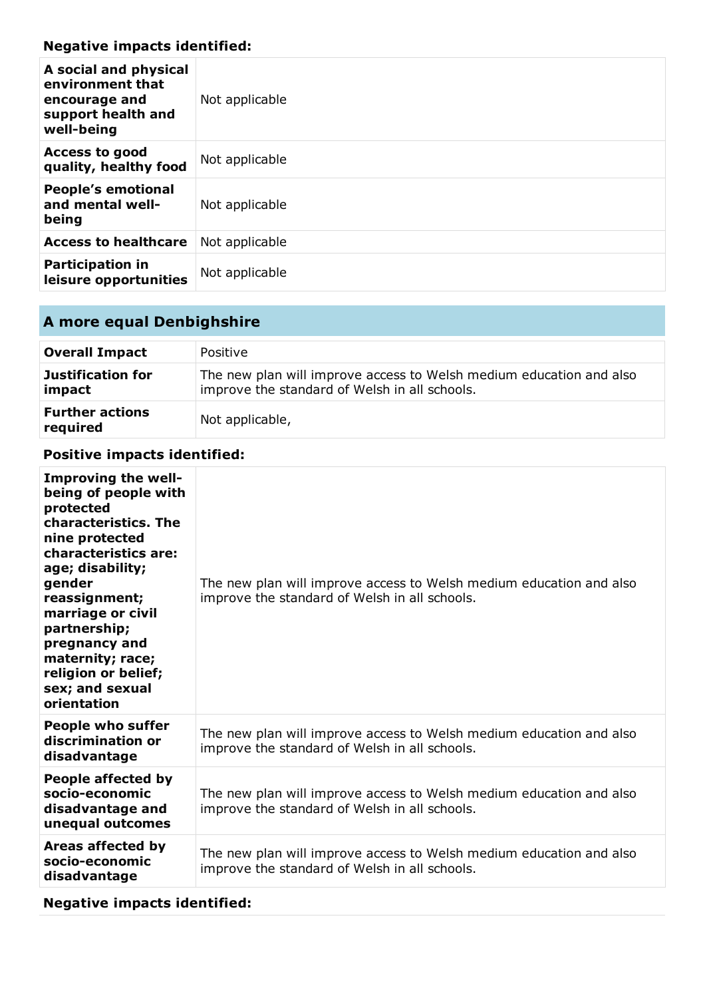#### **Negative impacts identified:**

| A social and physical<br>environment that<br>encourage and<br>support health and<br>well-being | Not applicable |
|------------------------------------------------------------------------------------------------|----------------|
| <b>Access to good</b><br>quality, healthy food                                                 | Not applicable |
| <b>People's emotional</b><br>and mental well-<br>being                                         | Not applicable |
| <b>Access to healthcare</b>                                                                    | Not applicable |
| <b>Participation in</b><br>leisure opportunities                                               | Not applicable |

# **A more equal Denbighshire**

| <b>Overall Impact</b>              | Positive                                                                                                             |
|------------------------------------|----------------------------------------------------------------------------------------------------------------------|
| <b>Justification for</b><br>impact | The new plan will improve access to Welsh medium education and also<br>improve the standard of Welsh in all schools. |
| <b>Further actions</b><br>required | Not applicable,                                                                                                      |

## **Positive impacts identified:**

| Improving the well-<br>being of people with<br>protected<br>characteristics. The<br>nine protected<br>characteristics are:<br>age; disability;<br>gender<br>reassignment;<br>marriage or civil<br>partnership;<br>pregnancy and<br>maternity; race;<br>religion or belief;<br>sex; and sexual<br>orientation | The new plan will improve access to Welsh medium education and also<br>improve the standard of Welsh in all schools. |
|--------------------------------------------------------------------------------------------------------------------------------------------------------------------------------------------------------------------------------------------------------------------------------------------------------------|----------------------------------------------------------------------------------------------------------------------|
| <b>People who suffer</b><br>discrimination or<br>disadvantage                                                                                                                                                                                                                                                | The new plan will improve access to Welsh medium education and also<br>improve the standard of Welsh in all schools. |
| People affected by<br>socio-economic<br>disadvantage and<br>unequal outcomes                                                                                                                                                                                                                                 | The new plan will improve access to Welsh medium education and also<br>improve the standard of Welsh in all schools. |
| Areas affected by<br>socio-economic<br>disadvantage                                                                                                                                                                                                                                                          | The new plan will improve access to Welsh medium education and also<br>improve the standard of Welsh in all schools. |

**Negative impacts identified:**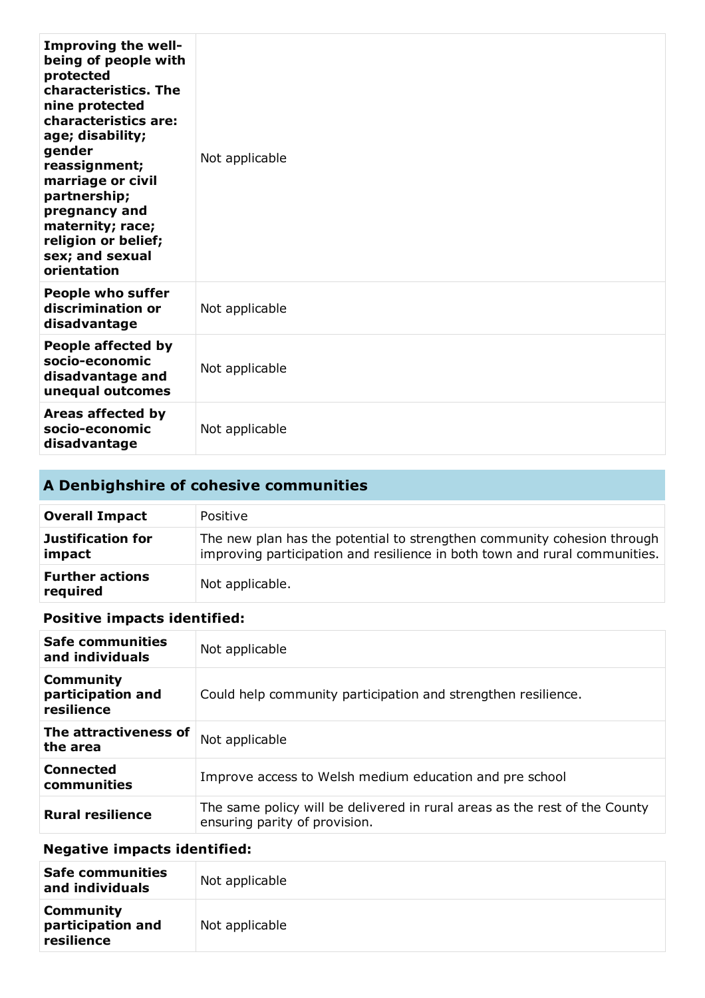| Improving the well-<br>being of people with<br>protected<br>characteristics. The<br>nine protected<br>characteristics are:<br>age; disability;<br>gender<br>reassignment;<br>marriage or civil<br>partnership;<br>pregnancy and<br>maternity; race;<br>religion or belief;<br>sex; and sexual<br>orientation | Not applicable |
|--------------------------------------------------------------------------------------------------------------------------------------------------------------------------------------------------------------------------------------------------------------------------------------------------------------|----------------|
| <b>People who suffer</b><br>discrimination or<br>disadvantage                                                                                                                                                                                                                                                | Not applicable |
| People affected by<br>socio-economic<br>disadvantage and<br>unequal outcomes                                                                                                                                                                                                                                 | Not applicable |
| Areas affected by<br>socio-economic<br>disadvantage                                                                                                                                                                                                                                                          | Not applicable |

# **A Denbighshire of cohesive communities**

| <b>Overall Impact</b>              | Positive                                                                                                                                              |
|------------------------------------|-------------------------------------------------------------------------------------------------------------------------------------------------------|
| Justification for<br>impact        | The new plan has the potential to strengthen community cohesion through<br>improving participation and resilience in both town and rural communities. |
| <b>Further actions</b><br>required | Not applicable.                                                                                                                                       |

## **Positive impacts identified:**

| <b>Safe communities</b><br>and individuals          | Not applicable                                                                                              |
|-----------------------------------------------------|-------------------------------------------------------------------------------------------------------------|
| <b>Community</b><br>participation and<br>resilience | Could help community participation and strengthen resilience.                                               |
| The attractiveness of<br>the area                   | Not applicable                                                                                              |
| <b>Connected</b><br>communities                     | Improve access to Welsh medium education and pre school                                                     |
| <b>Rural resilience</b>                             | The same policy will be delivered in rural areas as the rest of the County<br>ensuring parity of provision. |

## **Negative impacts identified:**

| <b>Safe communities</b><br>and individuals          | Not applicable |
|-----------------------------------------------------|----------------|
| <b>Community</b><br>participation and<br>resilience | Not applicable |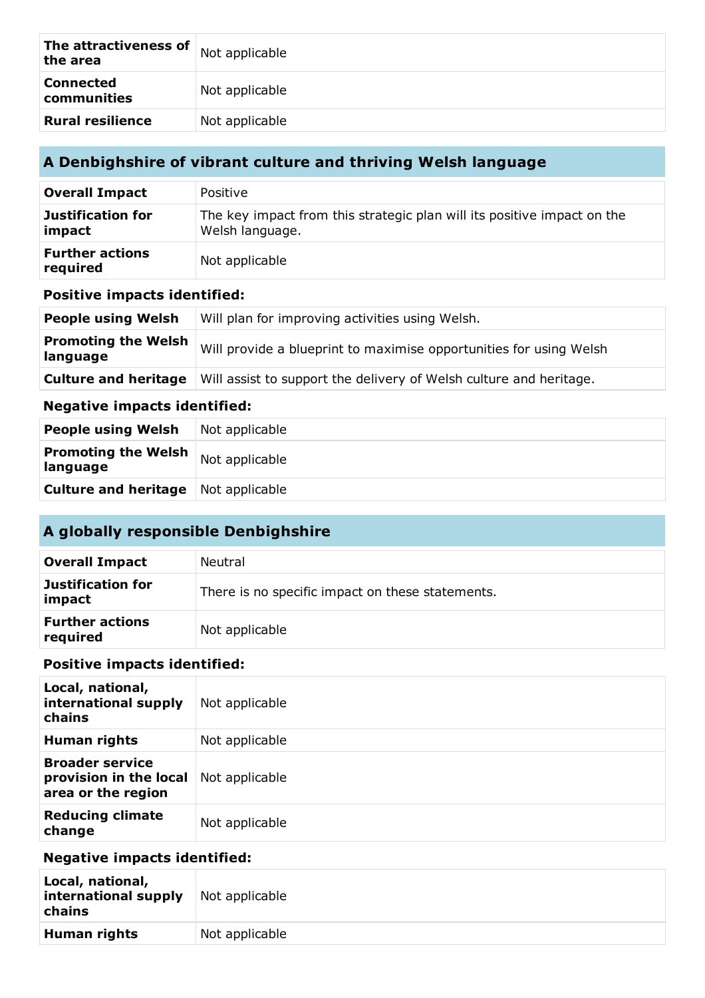| The attractiveness of<br>the area | Not applicable |
|-----------------------------------|----------------|
| <b>Connected</b><br>communities   | Not applicable |
| <b>Rural resilience</b>           | Not applicable |

## **A Denbighshire of vibrant culture and thriving Welsh language**

| <b>Overall Impact</b>              | Positive                                                                                   |
|------------------------------------|--------------------------------------------------------------------------------------------|
| Justification for<br>impact        | The key impact from this strategic plan will its positive impact on the<br>Welsh language. |
| <b>Further actions</b><br>required | Not applicable                                                                             |

## **Positive impacts identified:**

| <b>People using Welsh</b>              | Will plan for improving activities using Welsh.                    |
|----------------------------------------|--------------------------------------------------------------------|
| <b>Promoting the Welsh</b><br>language | Will provide a blueprint to maximise opportunities for using Welsh |
| <b>Culture and heritage</b>            | Will assist to support the delivery of Welsh culture and heritage. |

## **Negative impacts identified:**

| <b>People using Welsh</b>                  | Not applicable |
|--------------------------------------------|----------------|
| <b>Promoting the Welsh</b><br>language     | Not applicable |
| <b>Culture and heritage</b> Not applicable |                |

## **A globally responsible Denbighshire**

| <b>Overall Impact</b>              | Neutral                                          |
|------------------------------------|--------------------------------------------------|
| Justification for<br>impact        | There is no specific impact on these statements. |
| <b>Further actions</b><br>required | Not applicable                                   |

#### **Positive impacts identified:**

| Local, national,<br>international supply<br>chains                     | Not applicable |
|------------------------------------------------------------------------|----------------|
| Human rights                                                           | Not applicable |
| <b>Broader service</b><br>provision in the local<br>area or the region | Not applicable |
| <b>Reducing climate</b><br>change                                      | Not applicable |

## **Negative impacts identified:**

| Local, national,<br>international supply<br>chains | Not applicable |
|----------------------------------------------------|----------------|
| Human rights                                       | Not applicable |